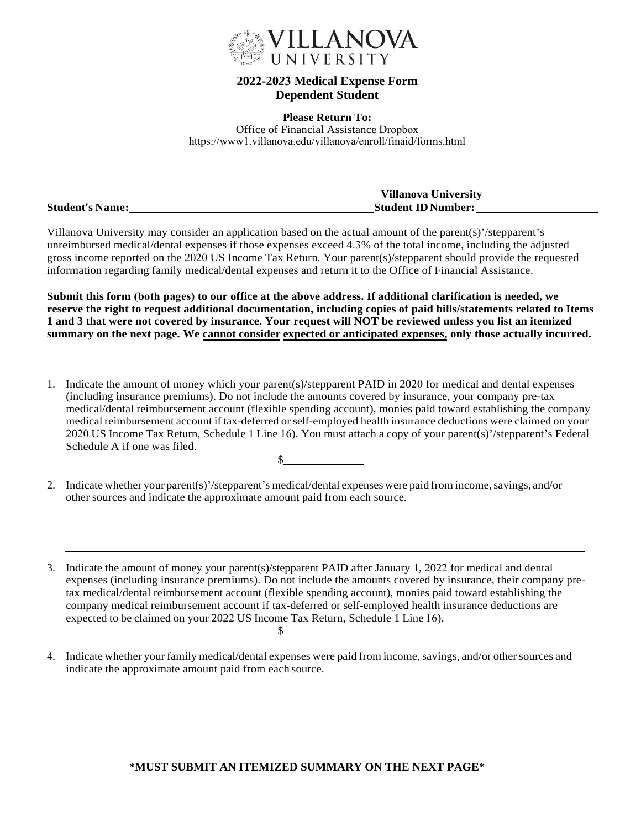

## **2022-20***2***3 Medical Expense Form Dependent Student**

**Please Return To:** Office of Financial Assistance Dropbox https://www1.villanova.edu/villanova/enroll/finaid/forms.html

|                        | <b>Villanova University</b> |
|------------------------|-----------------------------|
| <b>Student's Name:</b> | <b>Student ID Number:</b>   |

Villanova University may consider an application based on the actual amount of the parent(s)'/stepparent's unreimbursed medical/dental expenses if those expenses exceed 4.3% of the total income, including the adjusted gross income reported on the 2020 US Income Tax Return. Your parent(s)/stepparent should provide the requested information regarding family medical/dental expenses and return it to the Office of Financial Assistance.

**Submit this form (both pages) to our office at the above address. If additional clarification is needed, we reserve the right to request additional documentation, including copies of paid bills/statements related to Items 1 and 3 that were not covered by insurance. Your request will NOT be reviewed unless you list an itemized summary on the next page. We cannot consider expected or anticipated expenses, only those actually incurred.**

- 1. Indicate the amount of money which your parent(s)/stepparent PAID in 2020 for medical and dental expenses (including insurance premiums). Do not include the amounts covered by insurance, your company pre-tax medical/dental reimbursement account (flexible spending account), monies paid toward establishing the company medical reimbursement account if tax-deferred orself-employed health insurance deductions were claimed on your 2020 US Income Tax Return, Schedule 1 Line 16). You must attach a copy of your parent(s)'/stepparent's Federal Schedule A if one was filed.  $\sim$
- 2. Indicate whether your parent(s)'/stepparent's medical/dental expenses were paid from income, savings, and/or other sources and indicate the approximate amount paid from each source.

3. Indicate the amount of money your parent(s)/stepparent PAID after January 1, 2022 for medical and dental expenses (including insurance premiums). Do not include the amounts covered by insurance, their company pretax medical/dental reimbursement account (flexible spending account), monies paid toward establishing the company medical reimbursement account if tax-deferred or self-employed health insurance deductions are expected to be claimed on your 2022 US Income Tax Return, Schedule 1 Line 16).  $\mathbb{S}^-$ 

4. Indicate whether your family medical/dental expenses were paid from income, savings, and/or other sources and indicate the approximate amount paid from each source.

## **\*MUST SUBMIT AN ITEMIZED SUMMARY ON THE NEXT PAGE\***